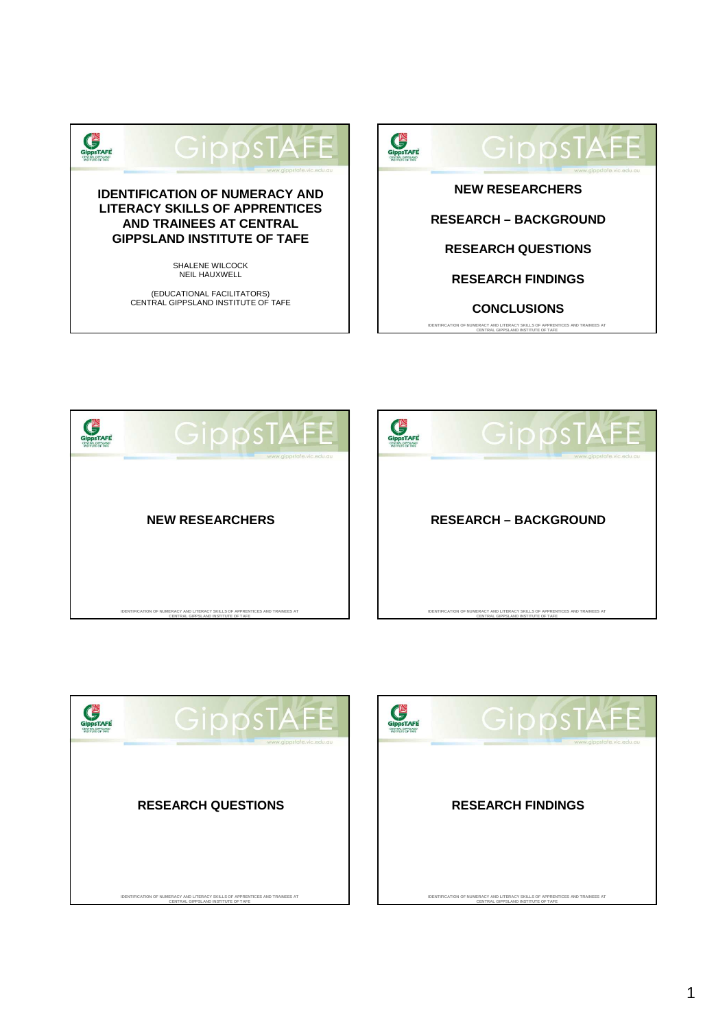



**IDENTIFICATION OF NUMERACY AND LITERACY SKILLS OF APPRENTICES AND TRAINEES AT CENTRAL GIPPSLAND INSTITUTE OF TAFE**

**CONCLUSIONS**